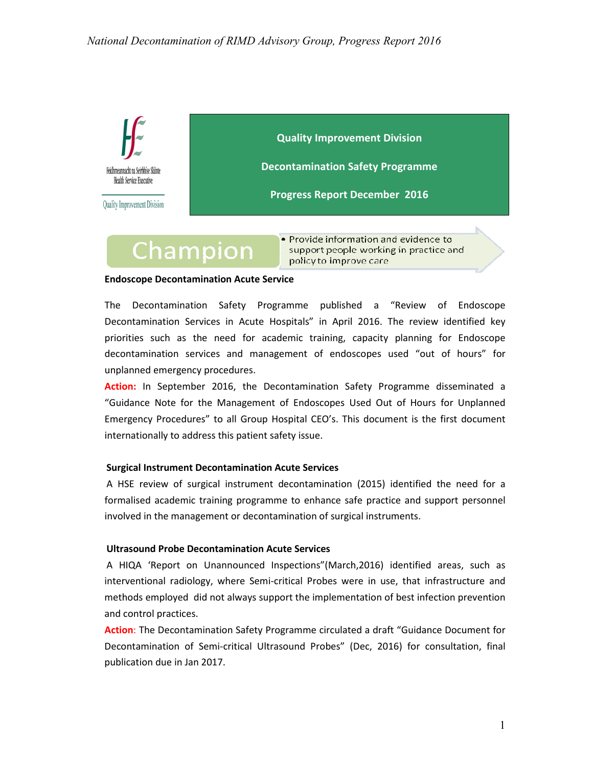

support people working in practice and policy to improve care

#### **Endoscope Decontamination Acute Service**

The Decontamination Safety Programme published a "Review of Endoscope Decontamination Services in Acute Hospitals" in April 2016. The review identified key priorities such as the need for academic training, capacity planning for Endoscope decontamination services and management of endoscopes used "out of hours" for unplanned emergency procedures.

**Action:** In September 2016, the Decontamination Safety Programme disseminated a "Guidance Note for the Management of Endoscopes Used Out of Hours for Unplanned Emergency Procedures" to all Group Hospital CEO's. This document is the first document internationally to address this patient safety issue.

#### **Surgical Instrument Decontamination Acute Services**

A HSE review of surgical instrument decontamination (2015) identified the need for a formalised academic training programme to enhance safe practice and support personnel involved in the management or decontamination of surgical instruments.

#### **Ultrasound Probe Decontamination Acute Services**

 A HIQA 'Report on Unannounced Inspections"(March,2016) identified areas, such as interventional radiology, where Semi‐critical Probes were in use, that infrastructure and methods employed did not always support the implementation of best infection prevention and control practices.

**Action**: The Decontamination Safety Programme circulated a draft "Guidance Document for Decontamination of Semi‐critical Ultrasound Probes" (Dec, 2016) for consultation, final publication due in Jan 2017.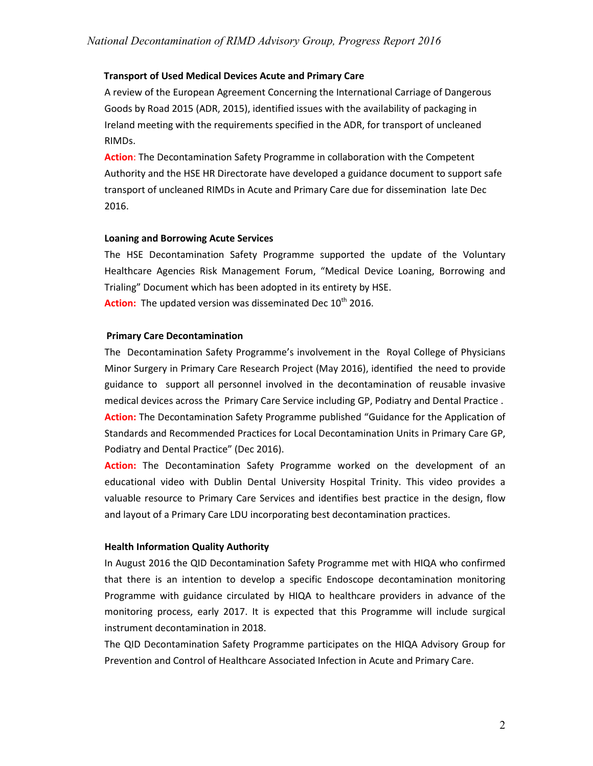#### **Transport of Used Medical Devices Acute and Primary Care**

A review of the European Agreement Concerning the International Carriage of Dangerous Goods by Road 2015 (ADR, 2015), identified issues with the availability of packaging in Ireland meeting with the requirements specified in the ADR, for transport of uncleaned RIMDs.

**Action**: The Decontamination Safety Programme in collaboration with the Competent Authority and the HSE HR Directorate have developed a guidance document to support safe transport of uncleaned RIMDs in Acute and Primary Care due for dissemination late Dec 2016.

#### **Loaning and Borrowing Acute Services**

The HSE Decontamination Safety Programme supported the update of the Voluntary Healthcare Agencies Risk Management Forum, "Medical Device Loaning, Borrowing and Trialing" Document which has been adopted in its entirety by HSE. Action: The updated version was disseminated Dec 10<sup>th</sup> 2016.

#### **Primary Care Decontamination**

The Decontamination Safety Programme's involvement in the Royal College of Physicians Minor Surgery in Primary Care Research Project (May 2016), identified the need to provide guidance to support all personnel involved in the decontamination of reusable invasive medical devices across the Primary Care Service including GP, Podiatry and Dental Practice . **Action:** The Decontamination Safety Programme published "Guidance for the Application of Standards and Recommended Practices for Local Decontamination Units in Primary Care GP, Podiatry and Dental Practice" (Dec 2016).

**Action:** The Decontamination Safety Programme worked on the development of an educational video with Dublin Dental University Hospital Trinity. This video provides a valuable resource to Primary Care Services and identifies best practice in the design, flow and layout of a Primary Care LDU incorporating best decontamination practices.

#### **Health Information Quality Authority**

In August 2016 the QID Decontamination Safety Programme met with HIQA who confirmed that there is an intention to develop a specific Endoscope decontamination monitoring Programme with guidance circulated by HIQA to healthcare providers in advance of the monitoring process, early 2017. It is expected that this Programme will include surgical instrument decontamination in 2018.

The QID Decontamination Safety Programme participates on the HIQA Advisory Group for Prevention and Control of Healthcare Associated Infection in Acute and Primary Care.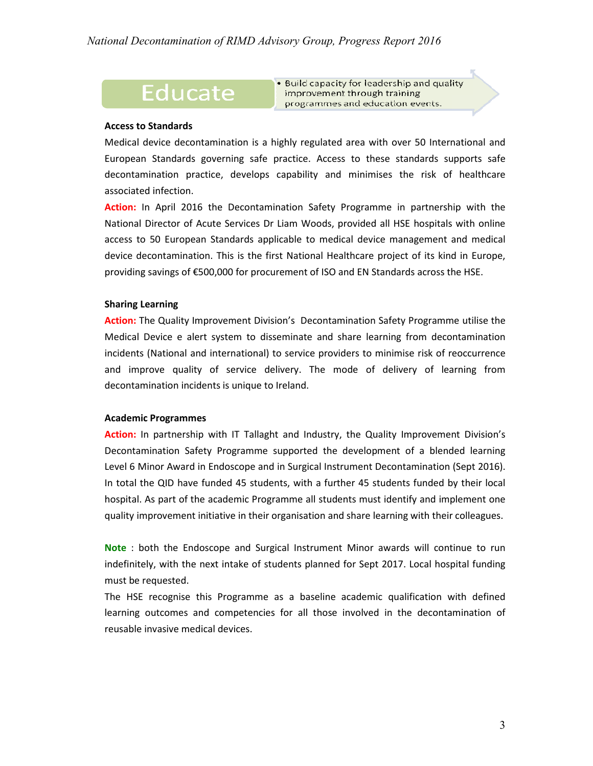### **Educate**

. Build capacity for leadership and quality improvement through training programmes and education events.

#### **Access to Standards**

Medical device decontamination is a highly regulated area with over 50 International and European Standards governing safe practice. Access to these standards supports safe decontamination practice, develops capability and minimises the risk of healthcare associated infection.

**Action:** In April 2016 the Decontamination Safety Programme in partnership with the National Director of Acute Services Dr Liam Woods, provided all HSE hospitals with online access to 50 European Standards applicable to medical device management and medical device decontamination. This is the first National Healthcare project of its kind in Europe, providing savings of €500,000 for procurement of ISO and EN Standards across the HSE.

#### **Sharing Learning**

**Action:** The Quality Improvement Division's Decontamination Safety Programme utilise the Medical Device e alert system to disseminate and share learning from decontamination incidents (National and international) to service providers to minimise risk of reoccurrence and improve quality of service delivery. The mode of delivery of learning from decontamination incidents is unique to Ireland.

#### **Academic Programmes**

**Action:** In partnership with IT Tallaght and Industry, the Quality Improvement Division's Decontamination Safety Programme supported the development of a blended learning Level 6 Minor Award in Endoscope and in Surgical Instrument Decontamination (Sept 2016). In total the QID have funded 45 students, with a further 45 students funded by their local hospital. As part of the academic Programme all students must identify and implement one quality improvement initiative in their organisation and share learning with their colleagues.

**Note** : both the Endoscope and Surgical Instrument Minor awards will continue to run indefinitely, with the next intake of students planned for Sept 2017. Local hospital funding must be requested.

The HSE recognise this Programme as a baseline academic qualification with defined learning outcomes and competencies for all those involved in the decontamination of reusable invasive medical devices.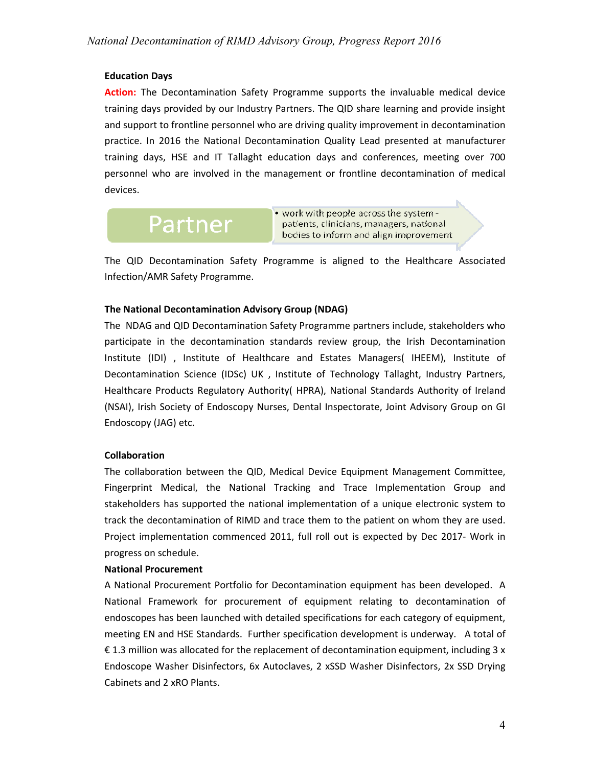#### **Education Days**

**Action:** The Decontamination Safety Programme supports the invaluable medical device training days provided by our Industry Partners. The QID share learning and provide insight and support to frontline personnel who are driving quality improvement in decontamination practice. In 2016 the National Decontamination Quality Lead presented at manufacturer training days, HSE and IT Tallaght education days and conferences, meeting over 700 personnel who are involved in the management or frontline decontamination of medical devices.

# Partner

. work with people across the system patients, clinicians, managers, national bodies to inform and align improvement

The QID Decontamination Safety Programme is aligned to the Healthcare Associated Infection/AMR Safety Programme.

#### **The National Decontamination Advisory Group (NDAG)**

The NDAG and QID Decontamination Safety Programme partners include, stakeholders who participate in the decontamination standards review group, the Irish Decontamination Institute (IDI) , Institute of Healthcare and Estates Managers( IHEEM), Institute of Decontamination Science (IDSc) UK , Institute of Technology Tallaght, Industry Partners, Healthcare Products Regulatory Authority( HPRA), National Standards Authority of Ireland (NSAI), Irish Society of Endoscopy Nurses, Dental Inspectorate, Joint Advisory Group on GI Endoscopy (JAG) etc.

#### **Collaboration**

The collaboration between the QID, Medical Device Equipment Management Committee, Fingerprint Medical, the National Tracking and Trace Implementation Group and stakeholders has supported the national implementation of a unique electronic system to track the decontamination of RIMD and trace them to the patient on whom they are used. Project implementation commenced 2011, full roll out is expected by Dec 2017‐ Work in progress on schedule.

#### **National Procurement**

A National Procurement Portfolio for Decontamination equipment has been developed. A National Framework for procurement of equipment relating to decontamination of endoscopes has been launched with detailed specifications for each category of equipment, meeting EN and HSE Standards. Further specification development is underway. A total of € 1.3 million was allocated for the replacement of decontamination equipment, including 3 x Endoscope Washer Disinfectors, 6x Autoclaves, 2 xSSD Washer Disinfectors, 2x SSD Drying Cabinets and 2 xRO Plants.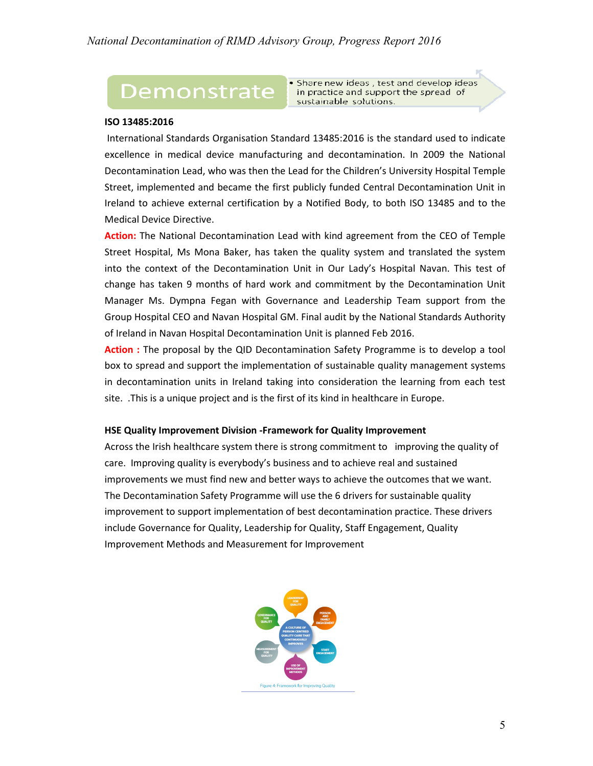## Demonstrate

· Share new ideas, test and develop ideas in practice and support the spread of sustainable solutions.

#### **ISO 13485:2016**

 International Standards Organisation Standard 13485:2016 is the standard used to indicate excellence in medical device manufacturing and decontamination. In 2009 the National Decontamination Lead, who was then the Lead for the Children's University Hospital Temple Street, implemented and became the first publicly funded Central Decontamination Unit in Ireland to achieve external certification by a Notified Body, to both ISO 13485 and to the Medical Device Directive.

**Action:** The National Decontamination Lead with kind agreement from the CEO of Temple Street Hospital, Ms Mona Baker, has taken the quality system and translated the system into the context of the Decontamination Unit in Our Lady's Hospital Navan. This test of change has taken 9 months of hard work and commitment by the Decontamination Unit Manager Ms. Dympna Fegan with Governance and Leadership Team support from the Group Hospital CEO and Navan Hospital GM. Final audit by the National Standards Authority of Ireland in Navan Hospital Decontamination Unit is planned Feb 2016.

**Action :** The proposal by the QID Decontamination Safety Programme is to develop a tool box to spread and support the implementation of sustainable quality management systems in decontamination units in Ireland taking into consideration the learning from each test site. .This is a unique project and is the first of its kind in healthcare in Europe.

#### **HSE Quality Improvement Division -Framework for Quality Improvement**

Across the Irish healthcare system there is strong commitment to improving the quality of care. Improving quality is everybody's business and to achieve real and sustained improvements we must find new and better ways to achieve the outcomes that we want. The Decontamination Safety Programme will use the 6 drivers for sustainable quality improvement to support implementation of best decontamination practice. These drivers include Governance for Quality, Leadership for Quality, Staff Engagement, Quality Improvement Methods and Measurement for Improvement